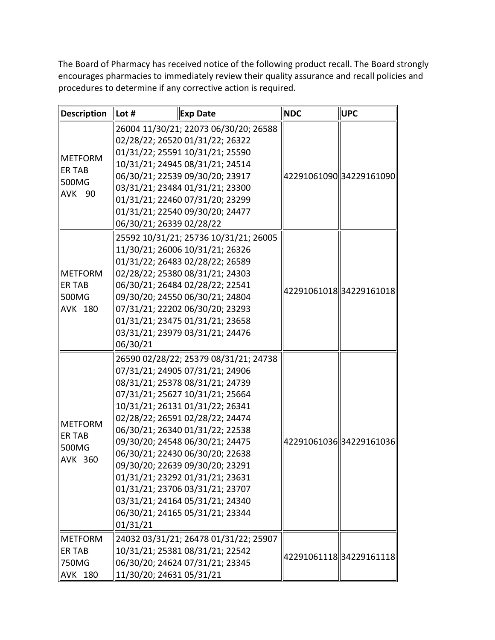The Board of Pharmacy has received notice of the following product recall. The Board strongly encourages pharmacies to immediately review their quality assurance and recall policies and procedures to determine if any corrective action is required.

| Description                                                               | Lot #                    | <b>Exp Date</b>                                                                                                                                                                                                                                                                                                                                                                                                                                                                                               | <b>NDC</b> | <b>UPC</b>              |
|---------------------------------------------------------------------------|--------------------------|---------------------------------------------------------------------------------------------------------------------------------------------------------------------------------------------------------------------------------------------------------------------------------------------------------------------------------------------------------------------------------------------------------------------------------------------------------------------------------------------------------------|------------|-------------------------|
| <b>IMETFORM</b><br><b>ER TAB</b><br>500MG<br>∥AVK<br>90                   | 06/30/21; 26339 02/28/22 | 26004 11/30/21; 22073 06/30/20; 26588<br>02/28/22; 26520 01/31/22; 26322<br>01/31/22; 25591 10/31/21; 25590<br>10/31/21; 24945 08/31/21; 24514<br>06/30/21; 22539 09/30/20; 23917<br>03/31/21; 23484 01/31/21; 23300<br>01/31/21; 22460 07/31/20; 23299<br>01/31/21; 22540 09/30/20; 24477                                                                                                                                                                                                                    |            | 42291061090 34229161090 |
| <b>METFORM</b><br>ler tab<br><b>500MG</b><br><b>AVK 180</b>               | 06/30/21                 | 25592 10/31/21; 25736 10/31/21; 26005<br>11/30/21; 26006 10/31/21; 26326<br>01/31/22; 26483 02/28/22; 26589<br>02/28/22; 25380 08/31/21; 24303<br>06/30/21; 26484 02/28/22; 22541<br>09/30/20; 24550 06/30/21; 24804<br>07/31/21; 22202 06/30/20; 23293<br>01/31/21; 23475 01/31/21; 23658<br>03/31/21; 23979 03/31/21; 24476                                                                                                                                                                                 |            | 42291061018 34229161018 |
| <b>IMETFORM</b><br>ler tab<br>S00MG<br>AVK 360                            | 01/31/21                 | 26590 02/28/22; 25379 08/31/21; 24738<br>07/31/21; 24905 07/31/21; 24906<br>08/31/21; 25378 08/31/21; 24739<br>07/31/21; 25627 10/31/21; 25664<br>10/31/21; 26131 01/31/22; 26341<br>02/28/22; 26591 02/28/22; 24474<br>06/30/21; 26340 01/31/22; 22538<br>09/30/20; 24548 06/30/21; 24475<br>06/30/21; 22430 06/30/20; 22638<br>l09/30/20: 22639 09/30/20: 23291<br>01/31/21; 23292 01/31/21; 23631<br>01/31/21; 23706 03/31/21; 23707<br>03/31/21; 24164 05/31/21; 24340<br>06/30/21; 24165 05/31/21; 23344 |            | 42291061036 34229161036 |
| $\blacksquare$ METFORM<br><b>ER TAB</b><br><b>750MG</b><br><b>AVK 180</b> | 11/30/20; 24631 05/31/21 | 24032 03/31/21; 26478 01/31/22; 25907<br>10/31/21; 25381 08/31/21; 22542<br>06/30/20; 24624 07/31/21; 23345                                                                                                                                                                                                                                                                                                                                                                                                   |            | 42291061118 34229161118 |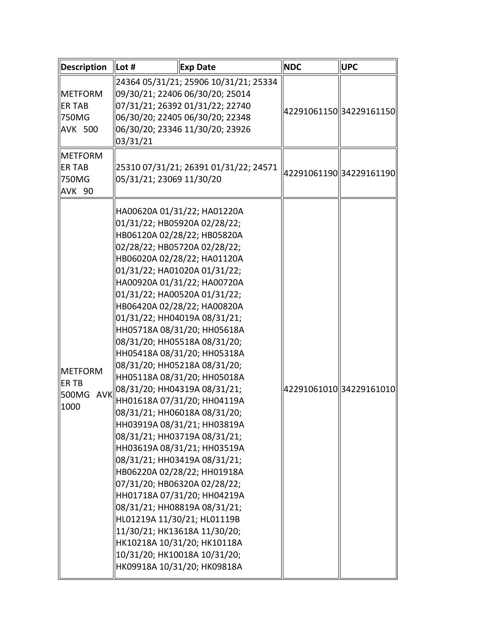| Description                                                                    | Lot #                    | <b>Exp Date</b>                                                                                                                                                                                                                                                                                                                                                                                                                                                                                                                                                                                                                                                                                                                                                                                                                                                                                                                                                                                               | <b>NDC</b> | <b>UPC</b>              |
|--------------------------------------------------------------------------------|--------------------------|---------------------------------------------------------------------------------------------------------------------------------------------------------------------------------------------------------------------------------------------------------------------------------------------------------------------------------------------------------------------------------------------------------------------------------------------------------------------------------------------------------------------------------------------------------------------------------------------------------------------------------------------------------------------------------------------------------------------------------------------------------------------------------------------------------------------------------------------------------------------------------------------------------------------------------------------------------------------------------------------------------------|------------|-------------------------|
| <b>IMETFORM</b><br><b>ER TAB</b><br><b>750MG</b><br><b>AVK 500</b><br>∥METFORM | 03/31/21                 | 24364 05/31/21; 25906 10/31/21; 25334<br>09/30/21; 22406 06/30/20; 25014<br>07/31/21; 26392 01/31/22; 22740<br>06/30/20; 22405 06/30/20; 22348<br>06/30/20; 23346 11/30/20; 23926                                                                                                                                                                                                                                                                                                                                                                                                                                                                                                                                                                                                                                                                                                                                                                                                                             |            | 42291061150 34229161150 |
| <b>ER TAB</b><br><b>750MG</b><br>AVK 90                                        | 05/31/21; 23069 11/30/20 | 25310 07/31/21; 26391 01/31/22; 24571                                                                                                                                                                                                                                                                                                                                                                                                                                                                                                                                                                                                                                                                                                                                                                                                                                                                                                                                                                         |            | 42291061190 34229161190 |
| <b>IMETFORM</b><br><b>ERTB</b><br><b>AVK</b><br><b>500MG</b><br>1000           |                          | HA00620A 01/31/22; HA01220A<br>01/31/22; HB05920A 02/28/22;<br>HB06120A 02/28/22; HB05820A<br>02/28/22; HB05720A 02/28/22;<br>HB06020A 02/28/22; HA01120A<br>01/31/22; HA01020A 01/31/22;<br>HA00920A 01/31/22; HA00720A<br>01/31/22; HA00520A 01/31/22;<br>HB06420A 02/28/22; HA00820A<br>01/31/22; HH04019A 08/31/21;<br>HH05718A 08/31/20; HH05618A<br>08/31/20; HH05518A 08/31/20;<br>HH05418A 08/31/20; HH05318A<br>08/31/20; HH05218A 08/31/20;<br>HH05118A 08/31/20; HH05018A<br>08/31/20; HH04319A 08/31/21;<br>HH01618A 07/31/20; HH04119A<br>08/31/21; HH06018A 08/31/20;<br> HH03919A 08/31/21; HH03819A<br>08/31/21; HH03719A 08/31/21;<br>HH03619A 08/31/21; HH03519A<br>08/31/21; HH03419A 08/31/21;<br>HB06220A 02/28/22; HH01918A<br>07/31/20; HB06320A 02/28/22;<br>HH01718A 07/31/20; HH04219A<br>08/31/21; HH08819A 08/31/21;<br>HL01219A 11/30/21; HL01119B<br>11/30/21; HK13618A 11/30/20;<br>HK10218A 10/31/20; HK10118A<br>10/31/20; HK10018A 10/31/20;<br>HK09918A 10/31/20; HK09818A |            | 42291061010 34229161010 |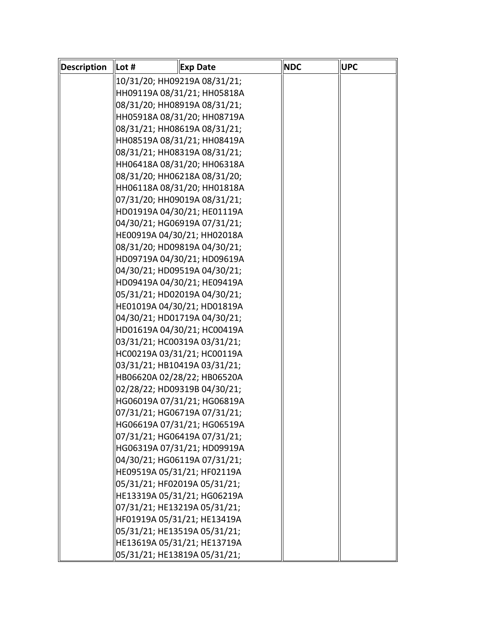| Description | Lot # | <b>Exp Date</b>              | <b>NDC</b> | <b>UPC</b> |
|-------------|-------|------------------------------|------------|------------|
|             |       | 10/31/20; HH09219A 08/31/21; |            |            |
|             |       | HH09119A 08/31/21; HH05818A  |            |            |
|             |       | 08/31/20; HH08919A 08/31/21; |            |            |
|             |       | HH05918A 08/31/20; HH08719A  |            |            |
|             |       | 08/31/21; HH08619A 08/31/21; |            |            |
|             |       | HH08519A 08/31/21; HH08419A  |            |            |
|             |       | 08/31/21; HH08319A 08/31/21; |            |            |
|             |       | HH06418A 08/31/20; HH06318A  |            |            |
|             |       | 08/31/20; HH06218A 08/31/20; |            |            |
|             |       | HH06118A 08/31/20; HH01818A  |            |            |
|             |       | 07/31/20; HH09019A 08/31/21; |            |            |
|             |       | HD01919A 04/30/21; HE01119A  |            |            |
|             |       | 04/30/21; HG06919A 07/31/21; |            |            |
|             |       | HE00919A 04/30/21; HH02018A  |            |            |
|             |       | 08/31/20; HD09819A 04/30/21; |            |            |
|             |       | HD09719A 04/30/21; HD09619A  |            |            |
|             |       | 04/30/21; HD09519A 04/30/21; |            |            |
|             |       | HD09419A 04/30/21; HE09419A  |            |            |
|             |       | 05/31/21; HD02019A 04/30/21; |            |            |
|             |       | HE01019A 04/30/21; HD01819A  |            |            |
|             |       | 04/30/21; HD01719A 04/30/21; |            |            |
|             |       | HD01619A 04/30/21; HC00419A  |            |            |
|             |       | 03/31/21; HC00319A 03/31/21; |            |            |
|             |       | HC00219A 03/31/21; HC00119A  |            |            |
|             |       | 03/31/21; HB10419A 03/31/21; |            |            |
|             |       | HB06620A 02/28/22; HB06520A  |            |            |
|             |       | 02/28/22; HD09319B 04/30/21; |            |            |
|             |       | HG06019A 07/31/21; HG06819A  |            |            |
|             |       | 07/31/21; HG06719A 07/31/21; |            |            |
|             |       | HG06619A 07/31/21; HG06519A  |            |            |
|             |       | 07/31/21; HG06419A 07/31/21; |            |            |
|             |       | HG06319A 07/31/21; HD09919A  |            |            |
|             |       | 04/30/21; HG06119A 07/31/21; |            |            |
|             |       | HE09519A 05/31/21; HF02119A  |            |            |
|             |       | 05/31/21; HF02019A 05/31/21; |            |            |
|             |       | HE13319A 05/31/21; HG06219A  |            |            |
|             |       | 07/31/21; HE13219A 05/31/21; |            |            |
|             |       | HF01919A 05/31/21; HE13419A  |            |            |
|             |       | 05/31/21; HE13519A 05/31/21; |            |            |
|             |       | HE13619A 05/31/21; HE13719A  |            |            |
|             |       | 05/31/21; HE13819A 05/31/21; |            |            |